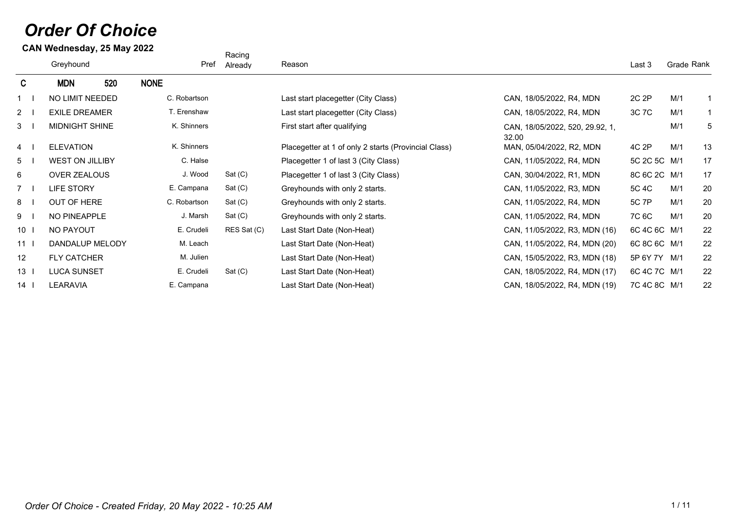## *Order Of Choice*

**CAN Wednesday, 25 May 2022**

|                        |              | Racing      |                                                      |                                          |              |            |              |
|------------------------|--------------|-------------|------------------------------------------------------|------------------------------------------|--------------|------------|--------------|
| Greyhound              | Pref         | Already     | Reason                                               |                                          | Last 3       | Grade Rank |              |
| <b>MDN</b><br>520      | <b>NONE</b>  |             |                                                      |                                          |              |            |              |
| <b>NO LIMIT NEEDED</b> | C. Robartson |             | Last start placegetter (City Class)                  | CAN, 18/05/2022, R4, MDN                 | 2C 2P        | M/1        |              |
| <b>EXILE DREAMER</b>   | T. Erenshaw  |             | Last start placegetter (City Class)                  | CAN, 18/05/2022, R4, MDN                 | 3C 7C        | M/1        |              |
| MIDNIGHT SHINE         | K. Shinners  |             | First start after qualifying                         | CAN, 18/05/2022, 520, 29.92, 1,<br>32.00 |              | M/1        | 5            |
| <b>ELEVATION</b>       | K. Shinners  |             | Placegetter at 1 of only 2 starts (Provincial Class) | MAN, 05/04/2022, R2, MDN                 | 4C 2P        | M/1        | 13           |
| <b>WEST ON JILLIBY</b> | C. Halse     |             | Placegetter 1 of last 3 (City Class)                 | CAN, 11/05/2022, R4, MDN                 | 5C 2C 5C M/1 |            | 17           |
| OVER ZEALOUS           | J. Wood      | Sat(C)      | Placegetter 1 of last 3 (City Class)                 | CAN, 30/04/2022, R1, MDN                 | 8C 6C 2C M/1 |            | 17           |
| <b>LIFE STORY</b>      | E. Campana   | Sat(C)      | Greyhounds with only 2 starts.                       | CAN, 11/05/2022, R3, MDN                 | 5C 4C        | M/1        | 20           |
| OUT OF HERE            | C. Robartson | Sat(C)      | Greyhounds with only 2 starts.                       | CAN, 11/05/2022, R4, MDN                 | 5C 7P        | M/1        | 20           |
| NO PINEAPPLE           | J. Marsh     | Sat(C)      | Greyhounds with only 2 starts.                       | CAN, 11/05/2022, R4, MDN                 | 7C 6C        | M/1        | 20           |
| NO PAYOUT              | E. Crudeli   | RES Sat (C) | Last Start Date (Non-Heat)                           | CAN, 11/05/2022, R3, MDN (16)            | 6C 4C 6C M/1 |            | 22           |
| DANDALUP MELODY        | M. Leach     |             | Last Start Date (Non-Heat)                           | CAN, 11/05/2022, R4, MDN (20)            | 6C 8C 6C M/1 |            | 22           |
| <b>FLY CATCHER</b>     | M. Julien    |             | Last Start Date (Non-Heat)                           | CAN, 15/05/2022, R3, MDN (18)            | 5P 6Y 7Y M/1 |            | 22           |
| <b>LUCA SUNSET</b>     | E. Crudeli   | Sat(C)      | Last Start Date (Non-Heat)                           | CAN, 18/05/2022, R4, MDN (17)            | 6C 4C 7C M/1 |            | 22           |
| <b>LEARAVIA</b>        | E. Campana   |             | Last Start Date (Non-Heat)                           | CAN, 18/05/2022, R4, MDN (19)            |              |            | 22           |
|                        |              |             |                                                      |                                          |              |            | 7C 4C 8C M/1 |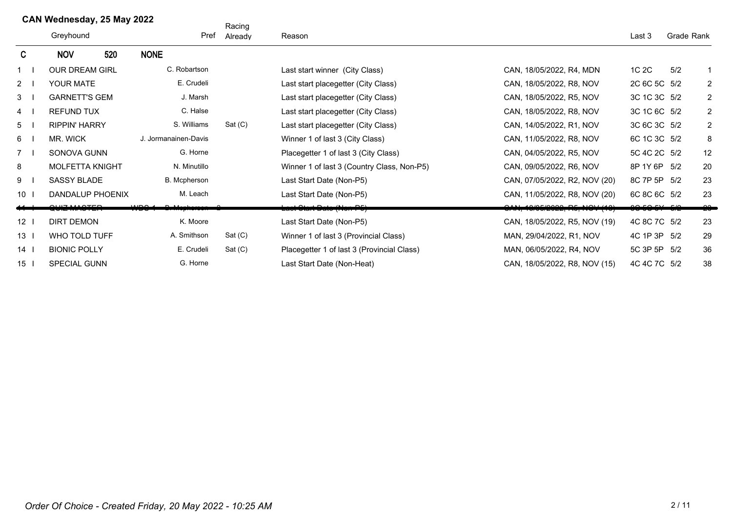|                 | CAN Wednesday, 25 May 2022 |     |                      | Racing          |                                            |                               |              |            |                |
|-----------------|----------------------------|-----|----------------------|-----------------|--------------------------------------------|-------------------------------|--------------|------------|----------------|
|                 | Greyhound                  |     |                      | Pref<br>Already | Reason                                     |                               |              | Grade Rank |                |
| C.              | <b>NOV</b>                 | 520 | <b>NONE</b>          |                 |                                            |                               |              |            |                |
|                 | <b>OUR DREAM GIRL</b>      |     | C. Robartson         |                 | Last start winner (City Class)             | CAN, 18/05/2022, R4, MDN      | 1C 2C        | 5/2        |                |
| $2^{\circ}$     | YOUR MATE                  |     | E. Crudeli           |                 | Last start placegetter (City Class)        | CAN, 18/05/2022, R8, NOV      | 2C 6C 5C 5/2 |            | $\overline{2}$ |
| 3               | <b>GARNETT'S GEM</b>       |     | J. Marsh             |                 | Last start placegetter (City Class)        | CAN, 18/05/2022, R5, NOV      | 3C 1C 3C 5/2 |            | $\overline{2}$ |
| 4               | <b>REFUND TUX</b>          |     | C. Halse             |                 | Last start placegetter (City Class)        | CAN, 18/05/2022, R8, NOV      | 3C 1C 6C 5/2 |            | $\overline{2}$ |
| 5               | <b>RIPPIN' HARRY</b>       |     | S. Williams          | Sat(C)          | Last start placegetter (City Class)        | CAN, 14/05/2022, R1, NOV      | 3C 6C 3C 5/2 |            | $\overline{2}$ |
| 6               | MR. WICK                   |     | J. Jormanainen-Davis |                 | Winner 1 of last 3 (City Class)            | CAN, 11/05/2022, R8, NOV      | 6C 1C 3C 5/2 |            | 8              |
| $\overline{7}$  | SONOVA GUNN                |     | G. Horne             |                 | Placegetter 1 of last 3 (City Class)       | CAN, 04/05/2022, R5, NOV      | 5C 4C 2C 5/2 |            | 12             |
| 8               | <b>MOLFETTA KNIGHT</b>     |     | N. Minutillo         |                 | Winner 1 of last 3 (Country Class, Non-P5) | CAN, 09/05/2022, R6, NOV      | 8P 1Y 6P 5/2 |            | 20             |
| 9               | <b>SASSY BLADE</b>         |     | <b>B.</b> Mcpherson  |                 | Last Start Date (Non-P5)                   | CAN, 07/05/2022, R2, NOV (20) | 8C 7P 5P 5/2 |            | 23             |
| 10              | DANDALUP PHOENIX           |     | M. Leach             |                 | Last Start Date (Non-P5)                   | CAN, 11/05/2022, R8, NOV (20) | 6C 8C 6C 5/2 |            | 23             |
|                 |                            |     |                      |                 | <del>Last Clart Date (Non-P5)</del>        | CAN, 10/05/2022, R5, NOV (10) |              |            | -20-           |
| $12-1$          | <b>DIRT DEMON</b>          |     | K. Moore             |                 | Last Start Date (Non-P5)                   | CAN, 18/05/2022, R5, NOV (19) | 4C 8C 7C 5/2 |            | 23             |
| 13 <sup>7</sup> | WHO TOLD TUFF              |     | A. Smithson          | Sat(C)          | Winner 1 of last 3 (Provincial Class)      | MAN, 29/04/2022, R1, NOV      | 4C 1P 3P 5/2 |            | 29             |
| 14              | <b>BIONIC POLLY</b>        |     | E. Crudeli           | Sat(C)          | Placegetter 1 of last 3 (Provincial Class) | MAN, 06/05/2022, R4, NOV      | 5C 3P 5P 5/2 |            | 36             |
| 15              | SPECIAL GUNN               |     | G. Horne             |                 | Last Start Date (Non-Heat)                 | CAN, 18/05/2022, R8, NOV (15) | 4C 4C 7C 5/2 |            | 38             |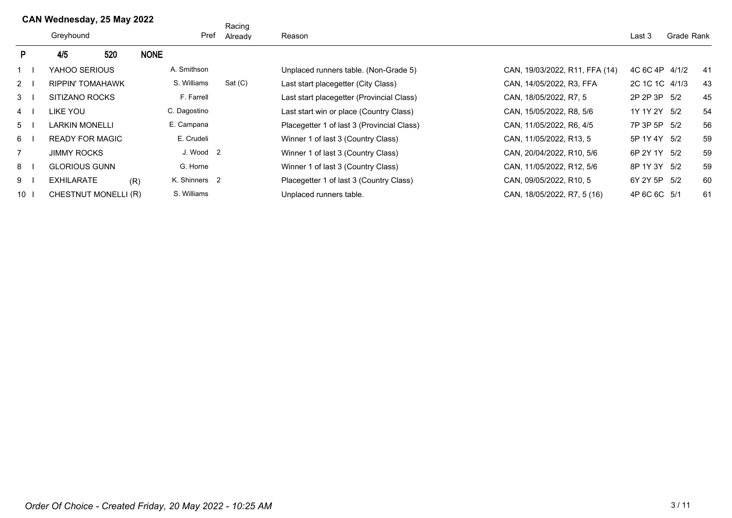## **CAN Wednesday, 25 May 2022**

|                |           | Greyhound               | . . |             | Pref                 | Racing<br>Already | Reason                                     |                                | Last 3         | Grade Rank |     |
|----------------|-----------|-------------------------|-----|-------------|----------------------|-------------------|--------------------------------------------|--------------------------------|----------------|------------|-----|
| P.             |           | 4/5                     | 520 | <b>NONE</b> |                      |                   |                                            |                                |                |            |     |
|                |           | YAHOO SERIOUS           |     |             | A. Smithson          |                   | Unplaced runners table. (Non-Grade 5)      | CAN, 19/03/2022, R11, FFA (14) | 4C 6C 4P 4/1/2 |            | -41 |
|                | $2 \mid$  | <b>RIPPIN' TOMAHAWK</b> |     |             | S. Williams          | Sat(C)            | Last start placegetter (City Class)        | CAN, 14/05/2022, R3, FFA       | 2C 1C 1C 4/1/3 |            | 43  |
|                | $3 \mid$  | SITIZANO ROCKS          |     |             | F. Farrell           |                   | Last start placegetter (Provincial Class)  | CAN, 18/05/2022, R7, 5         | 2P 2P 3P 5/2   |            | 45  |
|                | 4         | LIKE YOU                |     |             | C. Dagostino         |                   | Last start win or place (Country Class)    | CAN, 15/05/2022, R8, 5/6       | 1Y 1Y 2Y 5/2   |            | 54  |
|                | $5 \quad$ | LARKIN MONELLI          |     |             | E. Campana           |                   | Placegetter 1 of last 3 (Provincial Class) | CAN, 11/05/2022, R6, 4/5       | 7P 3P 5P 5/2   |            | 56  |
| 6 I            |           | <b>READY FOR MAGIC</b>  |     |             | E. Crudeli           |                   | Winner 1 of last 3 (Country Class)         | CAN, 11/05/2022, R13, 5        | 5P 1Y 4Y 5/2   |            | 59  |
| $\overline{7}$ |           | <b>JIMMY ROCKS</b>      |     |             | J. Wood <sub>2</sub> |                   | Winner 1 of last 3 (Country Class)         | CAN, 20/04/2022, R10, 5/6      | 6P 2Y 1Y 5/2   |            | 59  |
| $8-1$          |           | <b>GLORIOUS GUNN</b>    |     |             | G. Horne             |                   | Winner 1 of last 3 (Country Class)         | CAN, 11/05/2022, R12, 5/6      | 8P 1Y 3Y 5/2   |            | 59  |
| 91             |           | <b>EXHILARATE</b>       |     | (R)         | K. Shinners 2        |                   | Placegetter 1 of last 3 (Country Class)    | CAN, 09/05/2022, R10, 5        | 6Y 2Y 5P 5/2   |            | 60  |
|                | $10-1$    | CHESTNUT MONELLI (R)    |     |             | S. Williams          |                   | Unplaced runners table.                    | CAN, 18/05/2022, R7, 5 (16)    | 4P 6C 6C 5/1   |            | 61  |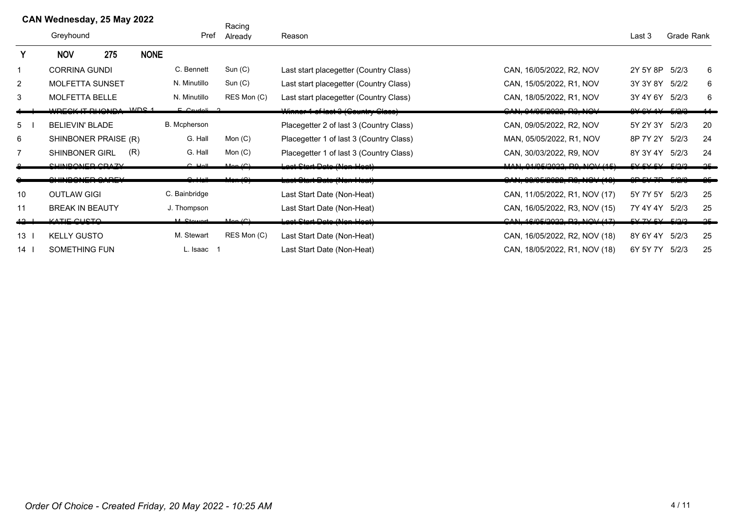|                 | CAN Wednesday, 25 May 2022<br>Greyhound |                       |             | Pref                | Racing<br>Already | Reason                                                       |                                                      |                             | Grade Rank |          |
|-----------------|-----------------------------------------|-----------------------|-------------|---------------------|-------------------|--------------------------------------------------------------|------------------------------------------------------|-----------------------------|------------|----------|
| Y               | <b>NOV</b>                              | 275                   | <b>NONE</b> |                     |                   |                                                              |                                                      |                             |            |          |
| $\mathbf{1}$    | <b>CORRINA GUNDI</b>                    |                       |             | C. Bennett          | Sun(C)            | Last start placegetter (Country Class)                       | CAN, 16/05/2022, R2, NOV                             | 2Y 5Y 8P                    | 5/2/3      | 6        |
| $\overline{2}$  | MOLFETTA SUNSET                         |                       |             | N. Minutillo        | Sun(C)            | Last start placegetter (Country Class)                       | CAN, 15/05/2022, R1, NOV                             | 3Y 3Y 8Y 5/2/2              |            | 6        |
| 3               | MOLFETTA BELLE                          |                       |             | N. Minutillo        | RES Mon (C)       | Last start placegetter (Country Class)                       | CAN, 18/05/2022, R1, NOV                             | 3Y 4Y 6Y 5/2/3              |            | 6        |
|                 |                                         | WOLOV IT DUONDA WOO 4 |             | $F$ $C$ and all $T$ |                   | Winner 1 of last 3 (Country Class)                           | OMLALOALOOOO, DOLIMOUL                               | $0 \vee 0 \vee 1 \vee 1$    |            |          |
| 5               | <b>BELIEVIN' BLADE</b>                  |                       |             | B. Mcpherson        |                   | Placegetter 2 of last 3 (Country Class)                      | CAN, 09/05/2022, R2, NOV                             | 5Y 2Y 3Y                    | 5/2/3      | 20       |
| 6               | SHINBONER PRAISE (R)                    |                       |             | G. Hall             | Mon $(C)$         | Placegetter 1 of last 3 (Country Class)                      | MAN, 05/05/2022, R1, NOV                             | 8P 7Y 2Y                    | 5/2/3      | 24       |
| $\overline{7}$  | <b>SHINBONER GIRL</b>                   |                       | (R)         | G. Hall             | Mon $(C)$         | Placegetter 1 of last 3 (Country Class)                      | CAN, 30/03/2022, R9, NOV                             | 8Y 3Y 4Y                    | 5/2/3      | 24       |
|                 | <u>CLIINDONIED CDAZV</u>                |                       |             | $C$ $Hall$          | Man(              | aat Ctart Data (Nan Haat)                                    | $MAN A/AE/0000$ DO $NON/4E$                          | $EVI$ $EVI$ $EVI$ $EIO$ $I$ |            | $\Omega$ |
|                 | $\sim$ The points $\sim$                |                       |             |                     | $\sim$ 10)        | للمصالح وسماله المستحقيقة<br><u>רמטר טומה ראמט הזטח הטמה</u> | $\Omega$<br><u>, טו ז ז ער הער הער השטושט היוויש</u> | 2D LYZD LQQ                 |            |          |
| 10              | <b>OUTLAW GIGI</b>                      |                       |             | C. Bainbridge       |                   | Last Start Date (Non-Heat)                                   | CAN, 11/05/2022, R1, NOV (17)                        | 5Y 7Y 5Y                    | 5/2/3      | 25       |
| 11              | <b>BREAK IN BEAUTY</b>                  |                       |             | J. Thompson         |                   | Last Start Date (Non-Heat)                                   | CAN, 16/05/2022, R3, NOV (15)                        | 7Y 4Y 4Y                    | 5/2/3      | 25       |
| مه              | <u>KATIE QUOTA</u>                      |                       |             | $M$ Ctowart         | Man(0)            | <u> Last Start Dats (Nen Heat)</u>                           | CAN 4C/CE/2022 D2 NOL/47)                            | $EVI$ $TV$ $EVI$ $EIO$ $O$  |            | عم       |
| 13 <sup>1</sup> | <b>KELLY GUSTO</b>                      |                       |             | M. Stewart          | RES Mon (C)       | Last Start Date (Non-Heat)                                   | CAN, 16/05/2022, R2, NOV (18)                        | 8Y 6Y 4Y                    | 5/2/3      | 25       |
| $14$ l          | SOMETHING FUN                           |                       |             | L. Isaac 1          |                   | Last Start Date (Non-Heat)                                   | CAN, 18/05/2022, R1, NOV (18)                        | 6Y 5Y 7Y                    | 5/2/3      | 25       |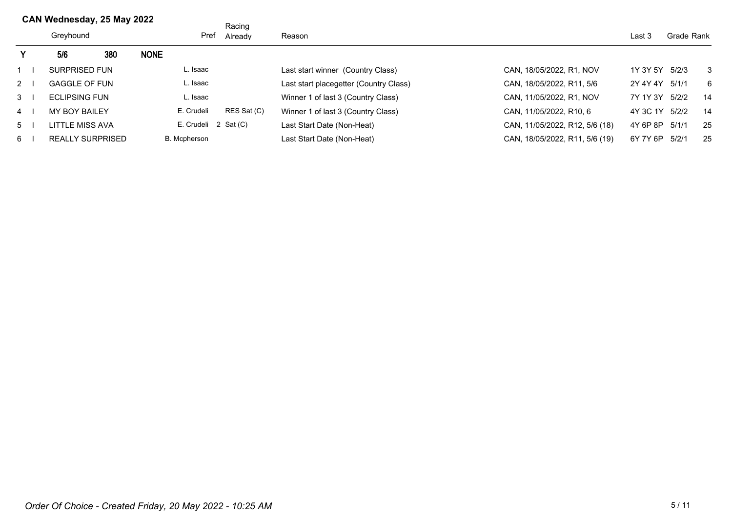|           | CAN Wednesday, 25 May 2022 |     |             |                      | Racing      |                                        |                                |                |       |            |
|-----------|----------------------------|-----|-------------|----------------------|-------------|----------------------------------------|--------------------------------|----------------|-------|------------|
|           | Greyhound                  |     |             | Pref                 | Already     | Reason                                 |                                |                |       | Grade Rank |
| Υ         | 5/6                        | 380 | <b>NONE</b> |                      |             |                                        |                                |                |       |            |
|           | <b>SURPRISED FUN</b>       |     |             | L. Isaac             |             | Last start winner (Country Class)      | CAN, 18/05/2022, R1, NOV       | 1Y 3Y 5Y 5/2/3 |       | 3          |
| $2 \mid$  | <b>GAGGLE OF FUN</b>       |     |             | L. Isaac             |             | Last start placegetter (Country Class) | CAN, 18/05/2022, R11, 5/6      | 2Y 4Y 4Y       | 5/1/1 | -6         |
| $3 \mid$  | <b>ECLIPSING FUN</b>       |     |             | L. Isaac             |             | Winner 1 of last 3 (Country Class)     | CAN, 11/05/2022, R1, NOV       | 7Y 1Y 3Y       | 5/2/2 | - 14       |
| $4 \mid$  | <b>MY BOY BAILEY</b>       |     |             | E. Crudeli           | RES Sat (C) | Winner 1 of last 3 (Country Class)     | CAN, 11/05/2022, R10, 6        | 4Y 3C 1Y 5/2/2 |       | 14         |
| $5 \quad$ | LITTLE MISS AVA            |     |             | E. Crudeli 2 Sat (C) |             | Last Start Date (Non-Heat)             | CAN, 11/05/2022, R12, 5/6 (18) | 4Y 6P 8P       | 5/1/1 | 25         |
| 6         | <b>REALLY SURPRISED</b>    |     |             | B. Mcpherson         |             | Last Start Date (Non-Heat)             | CAN, 18/05/2022, R11, 5/6 (19) | 6Y 7Y 6P       | 5/2/1 | 25         |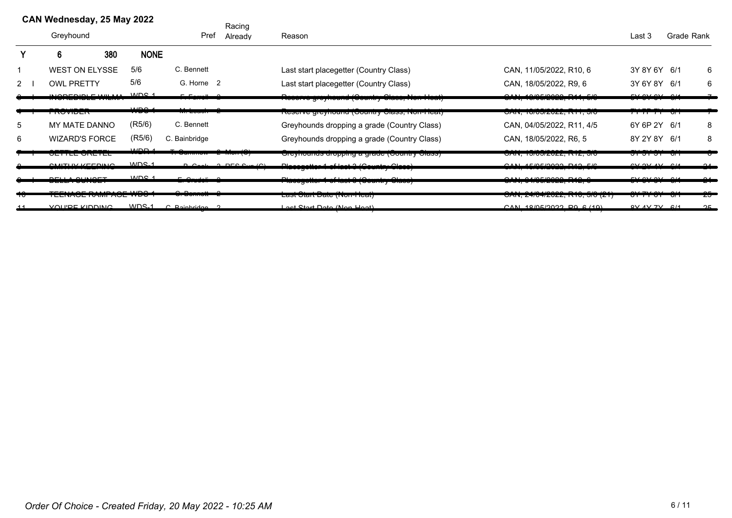|              | CAN Wednesday, 25 May 2022                      |                  | Racing                                        |                                                                                      |                                                                      |                                                       |    |          |
|--------------|-------------------------------------------------|------------------|-----------------------------------------------|--------------------------------------------------------------------------------------|----------------------------------------------------------------------|-------------------------------------------------------|----|----------|
|              | Greyhound                                       |                  | Pref<br>Already                               | Reason                                                                               | Last 3                                                               | Grade Rank                                            |    |          |
|              | 380<br>6                                        | <b>NONE</b>      |                                               |                                                                                      |                                                                      |                                                       |    |          |
|              | <b>WEST ON ELYSSE</b>                           | 5/6              | C. Bennett                                    | Last start placegetter (Country Class)                                               | CAN, 11/05/2022, R10, 6                                              | 3Y 8Y 6Y 6/1                                          |    | 6        |
| $\mathbf{2}$ | <b>OWL PRETTY</b>                               | 5/6              | G. Horne 2                                    | Last start placegetter (Country Class)                                               | CAN, 18/05/2022, R9, 6                                               | 3Y 6Y 8Y 6/1                                          |    | 6        |
|              | 100000101011111<br><u> האוםואז בבוסבר הסירו</u> | MDC <sub>1</sub> | $F = F + mc + H$<br>$\overline{\phantom{0}}$  | Twoorve greymound (Obunuly Oldoo, Non-Ficar)                                         | 1010F10000 D11 F10<br><del>UNIS, TURUZUZZ, ISTI, URU</del>           | $\sim$ $\sim$<br><del>,,,,,,,</del>                   | ּי |          |
|              | <del>1107110211</del>                           | حمصيت<br>,,,,,   | <del>ivi. Luduri</del>                        | <u> Treserve greynoana (Country Class, Non-Heat)</u>                                 | טורו , וטו טעשו, ווחס                                                | <del>,,,,,,,,,,,,,</del>                              |    |          |
| 5            | MY MATE DANNO                                   | (R5/6)           | C. Bennett                                    | Greyhounds dropping a grade (Country Class)                                          | CAN, 04/05/2022, R11, 4/5                                            | 6Y 6P 2Y 6/1                                          |    | 8        |
| 6            | <b>WIZARD'S FORCE</b>                           | (R5/6)           | C. Bainbridge                                 | Greyhounds dropping a grade (Country Class)                                          | CAN, 18/05/2022, R6, 5                                               | 8Y 2Y 8Y 6/1                                          |    | 8        |
|              | <del>un menderation</del>                       | MDD              | <del>7 100011 10</del><br><del>. oanmow</del> | Orcynounus uropping a grauc (Country Crass)                                          | טרוז, וטוטשובעב, ודוב, טוט                                           | <del>ərərər</del>                                     | ᠊ᠳ |          |
|              | <b>CMITUM VEFOINIO</b><br>---------------       | MDC <sub>1</sub> | D Cook 2 DEC Cup (C)                          | Discovered of Lot Office Original Olasa)<br>r ravogottor i or raot o jovantry orașej | $OMUAPDCDOOQ-DAQ-CDQ$<br>טוס <del>, בווון, בכסכוסוסוסו, ווה</del> זכ | $CVM$ $QV$ $QV$ $QH$                                  |    | $\Omega$ |
|              | $\Gamma$                                        | MDC <sub>1</sub> | <b>E</b> Australia                            | D.<br>That was a home of the monday of the contract of                               | Q<br><del>ט , אזון, שאטובטבר, ווידי</del>                            | $T_{\rm M}$ $\sim$ $\sim$ $\sim$ $\sim$ $\sim$ $\sim$ |    |          |
| ᠇ᠣ           | ד אסייז בוטרו וויורעו בוטרובבוו                 |                  |                                               | ταδι σιαπ <del>υαις (ινοπ-ποαι<i>)</i></del>                                         | <u>UAIN, ZHIUHIZUZZ, INTU, UIU IZT</u>                               | <del>01 11 01 - 011</del>                             |    | ΖJ       |
|              | VOLUDE KIDDING                                  | $MDS_1$          | $C$ Rainbridge $2$                            | Loot Ctart Data (Nan Hoot)                                                           | CAN 10/0E/2022D0E/101                                                | $0V$ $AV$ $7V$ $6/4$                                  |    | $\Omega$ |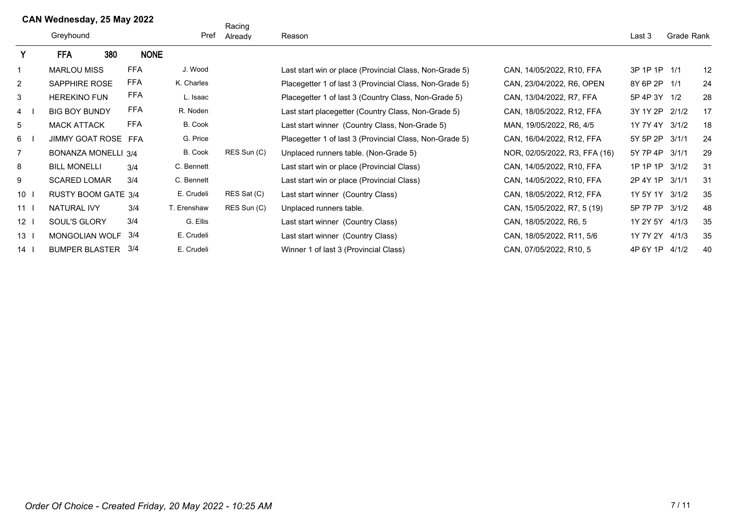|                 | CAN Wednesday, 25 May 2022 |                            |     |             | Racing         |             |                                                         |                               |                |            |    |
|-----------------|----------------------------|----------------------------|-----|-------------|----------------|-------------|---------------------------------------------------------|-------------------------------|----------------|------------|----|
|                 |                            | Greyhound                  |     |             | Pref           | Already     | Reason                                                  |                               | Last 3         | Grade Rank |    |
| Y               |                            | <b>FFA</b>                 | 380 | <b>NONE</b> |                |             |                                                         |                               |                |            |    |
|                 |                            | <b>MARLOU MISS</b>         |     | <b>FFA</b>  | J. Wood        |             | Last start win or place (Provincial Class, Non-Grade 5) | CAN, 14/05/2022, R10, FFA     | 3P 1P 1P 1/1   |            | 12 |
| 2               |                            | <b>SAPPHIRE ROSE</b>       |     | <b>FFA</b>  | K. Charles     |             | Placegetter 1 of last 3 (Provincial Class, Non-Grade 5) | CAN, 23/04/2022, R6, OPEN     | 8Y 6P 2P 1/1   |            | 24 |
| 3               |                            | <b>HEREKINO FUN</b>        |     | <b>FFA</b>  | L. Isaac       |             | Placegetter 1 of last 3 (Country Class, Non-Grade 5)    | CAN, 13/04/2022, R7, FFA      | 5P 4P 3Y 1/2   |            | 28 |
| $\overline{4}$  |                            | <b>BIG BOY BUNDY</b>       |     | FFA         | R. Noden       |             | Last start placegetter (Country Class, Non-Grade 5)     | CAN, 18/05/2022, R12, FFA     | 3Y 1Y 2P       | 2/1/2      | 17 |
| 5               |                            | <b>MACK ATTACK</b>         |     | <b>FFA</b>  | <b>B.</b> Cook |             | Last start winner (Country Class, Non-Grade 5)          | MAN, 19/05/2022, R6, 4/5      | 1Y 7Y 4Y       | 3/1/2      | 18 |
| 6               |                            | <b>JIMMY GOAT ROSE</b>     |     | FFA         | G. Price       |             | Placegetter 1 of last 3 (Provincial Class, Non-Grade 5) | CAN, 16/04/2022, R12, FFA     | 5Y 5P 2P       | 3/1/1      | 24 |
|                 |                            | <b>BONANZA MONELLI 3/4</b> |     |             | B. Cook        | RES Sun (C) | Unplaced runners table. (Non-Grade 5)                   | NOR, 02/05/2022, R3, FFA (16) | 5Y 7P 4P       | 3/1/1      | 29 |
| 8               |                            | <b>BILL MONELLI</b>        |     | 3/4         | C. Bennett     |             | Last start win or place (Provincial Class)              | CAN, 14/05/2022, R10, FFA     | 1P 1P 1P       | 3/1/2      | 31 |
| 9               |                            | <b>SCARED LOMAR</b>        |     | 3/4         | C. Bennett     |             | Last start win or place (Provincial Class)              | CAN, 14/05/2022, R10, FFA     | 2P 4Y 1P       | 3/1/1      | 31 |
| 10 <sup>1</sup> |                            | <b>RUSTY BOOM GATE 3/4</b> |     |             | E. Crudeli     | RES Sat (C) | Last start winner (Country Class)                       | CAN, 18/05/2022, R12, FFA     | 1Y 5Y 1Y 3/1/2 |            | 35 |
| 11 <sup>1</sup> |                            | NATURAL IVY                |     | 3/4         | T. Erenshaw    | RES Sun (C) | Unplaced runners table.                                 | CAN, 15/05/2022, R7, 5 (19)   | 5P 7P 7P       | 3/1/2      | 48 |
| 12              |                            | SOUL'S GLORY               |     | 3/4         | G. Ellis       |             | Last start winner (Country Class)                       | CAN, 18/05/2022, R6, 5        | 1Y 2Y 5Y       | 4/1/3      | 35 |
| 13              |                            | <b>MONGOLIAN WOLF</b>      |     | 3/4         | E. Crudeli     |             | Last start winner (Country Class)                       | CAN, 18/05/2022, R11, 5/6     | 1Y 7Y 2Y       | 4/1/3      | 35 |
| $14$ l          |                            | <b>BUMPER BLASTER</b>      |     | 3/4         | E. Crudeli     |             | Winner 1 of last 3 (Provincial Class)                   | CAN, 07/05/2022, R10, 5       | 4P 6Y 1P 4/1/2 |            | 40 |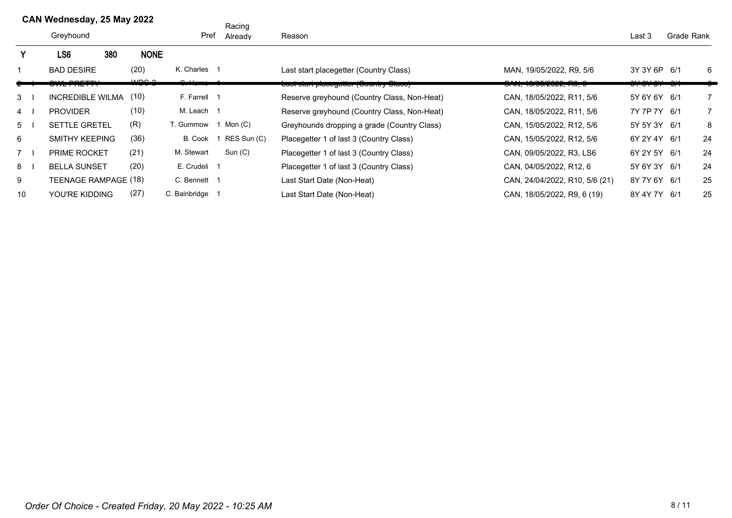|    | CAN Wednesday, 25 May 2022 |     |             |                 | Racing      |                                             |                                |                 |            |                |
|----|----------------------------|-----|-------------|-----------------|-------------|---------------------------------------------|--------------------------------|-----------------|------------|----------------|
|    | Greyhound                  |     |             | Pref            | Already     | Reason                                      |                                | Last 3          | Grade Rank |                |
|    | LS <sub>6</sub>            | 380 | <b>NONE</b> |                 |             |                                             |                                |                 |            |                |
|    | <b>BAD DESIRE</b>          |     | (20)        | K. Charles 1    |             | Last start placegetter (Country Class)      | MAN, 19/05/2022, R9, 5/6       | 3Y 3Y 6P 6/1    |            | 6              |
|    | <b>DOCTTY</b>              |     | م مصدر      | سم              |             | Laot olan placegetter (Ocami y Olaoo)       |                                | 311.031.031.014 |            |                |
| 3  | <b>INCREDIBLE WILMA</b>    |     | (10)        | F. Farrell 1    |             | Reserve greyhound (Country Class, Non-Heat) | CAN, 18/05/2022, R11, 5/6      | 5Y 6Y 6Y 6/1    |            | $\overline{7}$ |
| 4  | <b>PROVIDER</b>            |     | (10)        | M. Leach 1      |             | Reserve greyhound (Country Class, Non-Heat) | CAN, 18/05/2022, R11, 5/6      | 7Y 7P 7Y 6/1    |            | $\overline{7}$ |
| 5  | <b>SETTLE GRETEL</b>       |     | (R)         | T. Gummow       | Mon (C)     | Greyhounds dropping a grade (Country Class) | CAN, 15/05/2022, R12, 5/6      | 5Y 5Y 3Y 6/1    |            | 8              |
| 6  | <b>SMITHY KEEPING</b>      |     | (36)        | B. Cook         | RES Sun (C) | Placegetter 1 of last 3 (Country Class)     | CAN, 15/05/2022, R12, 5/6      | 6Y 2Y 4Y 6/1    |            | 24             |
|    | PRIME ROCKET               |     | (21)        | M. Stewart      | Sun (C)     | Placegetter 1 of last 3 (Country Class)     | CAN, 09/05/2022, R3, LS6       | 6Y 2Y 5Y 6/1    |            | 24             |
| 8  | <b>BELLA SUNSET</b>        |     | (20)        | E. Crudeli 1    |             | Placegetter 1 of last 3 (Country Class)     | CAN, 04/05/2022, R12, 6        | 5Y 6Y 3Y 6/1    |            | 24             |
| 9  | TEENAGE RAMPAGE (18)       |     |             | C. Bennett 1    |             | Last Start Date (Non-Heat)                  | CAN, 24/04/2022, R10, 5/6 (21) | 8Y 7Y 6Y 6/1    |            | 25             |
| 10 | YOU'RE KIDDING             |     | (27)        | C. Bainbridge 1 |             | Last Start Date (Non-Heat)                  | CAN, 18/05/2022, R9, 6 (19)    | 8Y 4Y 7Y 6/1    |            | 25             |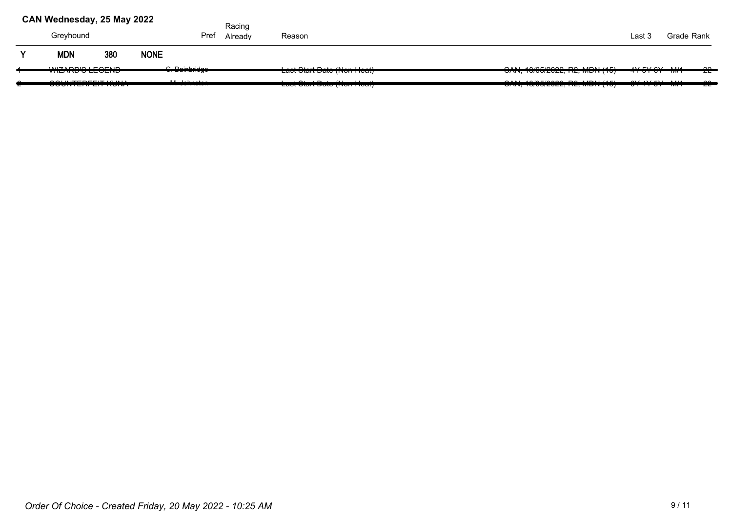|   | CAN Wednesday, 25 May 2022                     |     |             |                                                                                                             | Racing  |                                                                                                |                                                                            |                                                                    |            |               |
|---|------------------------------------------------|-----|-------------|-------------------------------------------------------------------------------------------------------------|---------|------------------------------------------------------------------------------------------------|----------------------------------------------------------------------------|--------------------------------------------------------------------|------------|---------------|
|   | Greyhound                                      |     |             | Pref                                                                                                        | Already | Reason                                                                                         |                                                                            | Last 3                                                             | Grade Rank |               |
| v | <b>MDN</b>                                     | 380 | <b>NONE</b> |                                                                                                             |         |                                                                                                |                                                                            |                                                                    |            |               |
|   | <b>WITADDIA LEAFUR</b><br>,,,,,,,,,,,,,,,,,,,, |     |             | $\bigcap_{n=1}^{\infty}$ $\bigcap_{n=1}^{\infty}$ and $\bigcap_{n=1}^{\infty}$<br><del>.</del>              |         | $-104 - 40 - 12 = 0$<br>Ladi Dian Dalo (11011 110ai)                                           | $QABI$ 40/05/0000 DO MDN (45)<br><del>0. , 10.00.2022, 1.2, MDN (107</del> | AYENIN<br><del>11 01 01 1111 1</del>                               |            | ൶<br>---      |
|   | A A UUTE BETI T U U R A<br>$\sim$              |     |             | $\mathbf{A}$ $\mathbf{A}$ $\mathbf{A}$ $\mathbf{A}$ $\mathbf{A}$ $\mathbf{A}$ $\mathbf{A}$<br>11.9911191917 |         | $\mathbf{r}$ and $\mathbf{r}$ and $\mathbf{r}$ and $\mathbf{r}$<br>Last Utait Date (Holf Toat) | V(T, T, T, T)                                                              | $\Delta t$ $\Delta t$ $\Delta t$ $\Delta t$<br><u>ULTIUL IVIII</u> |            | $\sim$<br>--- |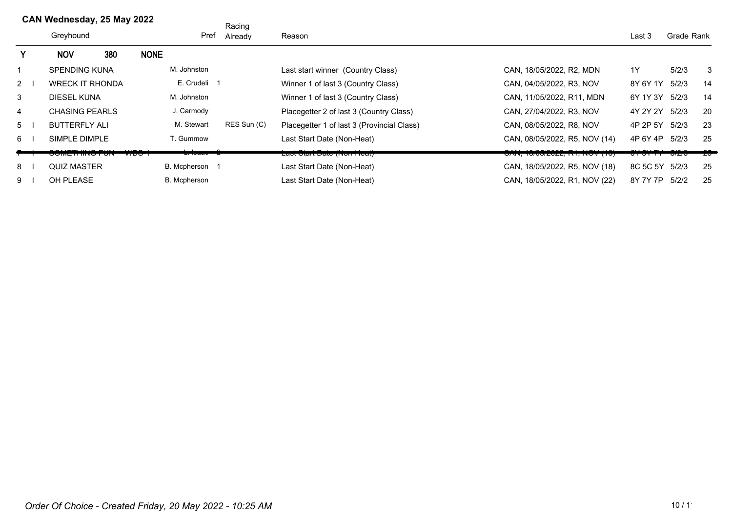|                | CAN Wednesday, 25 May 2022 |                            |     |             |                    | Racing      |                                            |                                                                 |                    |            |     |
|----------------|----------------------------|----------------------------|-----|-------------|--------------------|-------------|--------------------------------------------|-----------------------------------------------------------------|--------------------|------------|-----|
|                |                            | Greyhound                  |     |             | Pref               | Already     | Reason                                     |                                                                 |                    | Grade Rank |     |
|                |                            | <b>NOV</b>                 | 380 | <b>NONE</b> |                    |             |                                            |                                                                 |                    |            |     |
|                |                            | <b>SPENDING KUNA</b>       |     |             | M. Johnston        |             | Last start winner (Country Class)          | CAN, 18/05/2022, R2, MDN                                        | 1Y                 | 5/2/3      | 3   |
| $2 \mid$       |                            | <b>WRECK IT RHONDA</b>     |     |             | E. Crudeli 1       |             | Winner 1 of last 3 (Country Class)         | CAN, 04/05/2022, R3, NOV                                        | 8Y 6Y 1Y           | 5/2/3      | 14  |
| 3              |                            | <b>DIESEL KUNA</b>         |     |             | M. Johnston        |             | Winner 1 of last 3 (Country Class)         | CAN, 11/05/2022, R11, MDN                                       | 6Y 1Y 3Y           | 5/2/3      | 14  |
| 4              |                            | <b>CHASING PEARLS</b>      |     |             | J. Carmody         |             | Placegetter 2 of last 3 (Country Class)    | CAN, 27/04/2022, R3, NOV                                        | 4Y 2Y 2Y           | 5/2/3      | 20  |
| 5 <sup>5</sup> |                            | <b>BUTTERFLY ALI</b>       |     |             | M. Stewart         | RES Sun (C) | Placegetter 1 of last 3 (Provincial Class) | CAN, 08/05/2022, R8, NOV                                        | 4P 2P 5Y           | 5/2/3      | 23  |
| 6              |                            | SIMPLE DIMPLE              |     |             | T. Gummow          |             | Last Start Date (Non-Heat)                 | CAN, 08/05/2022, R5, NOV (14)                                   | 4P 6Y 4P           | 5/2/3      | 25  |
|                |                            | 2018 - 11 11 11 10 11 11 1 |     |             | <del>- Touao</del> |             | ∟מסו טומת טמוט (חשור וטמו)                 | <del>טו זי, וטו טשובעבב, ו <i>ז</i>ו, ויו ע</del> ר <i>ן</i> וט | <del>,,,,,,,</del> | ᠊ᠳ᠌᠌᠌ᠽᠠᠣ   | -25 |
| 8              |                            | <b>QUIZ MASTER</b>         |     |             | B. Mcpherson 1     |             | Last Start Date (Non-Heat)                 | CAN, 18/05/2022, R5, NOV (18)                                   | 8C 5C 5Y 5/2/3     |            | 25  |
| 9              |                            | OH PLEASE                  |     |             | B. Mcpherson       |             | Last Start Date (Non-Heat)                 | CAN, 18/05/2022, R1, NOV (22)                                   | 8Y 7Y 7P           | 5/2/2      | 25  |